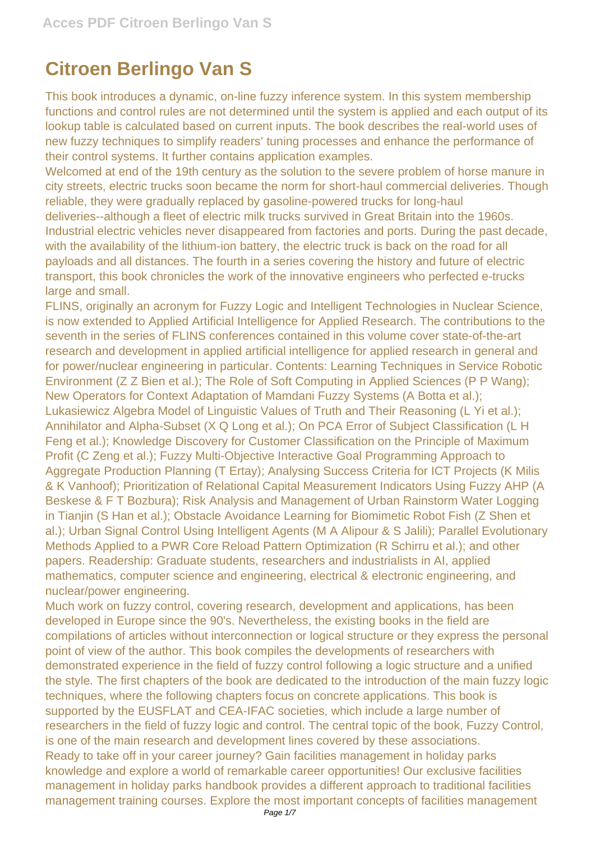## **Citroen Berlingo Van S**

This book introduces a dynamic, on-line fuzzy inference system. In this system membership functions and control rules are not determined until the system is applied and each output of its lookup table is calculated based on current inputs. The book describes the real-world uses of new fuzzy techniques to simplify readers' tuning processes and enhance the performance of their control systems. It further contains application examples.

Welcomed at end of the 19th century as the solution to the severe problem of horse manure in city streets, electric trucks soon became the norm for short-haul commercial deliveries. Though reliable, they were gradually replaced by gasoline-powered trucks for long-haul deliveries--although a fleet of electric milk trucks survived in Great Britain into the 1960s. Industrial electric vehicles never disappeared from factories and ports. During the past decade, with the availability of the lithium-ion battery, the electric truck is back on the road for all payloads and all distances. The fourth in a series covering the history and future of electric transport, this book chronicles the work of the innovative engineers who perfected e-trucks large and small.

FLINS, originally an acronym for Fuzzy Logic and Intelligent Technologies in Nuclear Science, is now extended to Applied Artificial Intelligence for Applied Research. The contributions to the seventh in the series of FLINS conferences contained in this volume cover state-of-the-art research and development in applied artificial intelligence for applied research in general and for power/nuclear engineering in particular. Contents: Learning Techniques in Service Robotic Environment (Z Z Bien et al.); The Role of Soft Computing in Applied Sciences (P P Wang); New Operators for Context Adaptation of Mamdani Fuzzy Systems (A Botta et al.); Lukasiewicz Algebra Model of Linguistic Values of Truth and Their Reasoning (L Yi et al.); Annihilator and Alpha-Subset (X Q Long et al.); On PCA Error of Subject Classification (L H Feng et al.); Knowledge Discovery for Customer Classification on the Principle of Maximum Profit (C Zeng et al.); Fuzzy Multi-Objective Interactive Goal Programming Approach to Aggregate Production Planning (T Ertay); Analysing Success Criteria for ICT Projects (K Milis & K Vanhoof); Prioritization of Relational Capital Measurement Indicators Using Fuzzy AHP (A Beskese & F T Bozbura); Risk Analysis and Management of Urban Rainstorm Water Logging in Tianjin (S Han et al.); Obstacle Avoidance Learning for Biomimetic Robot Fish (Z Shen et al.); Urban Signal Control Using Intelligent Agents (M A Alipour & S Jalili); Parallel Evolutionary Methods Applied to a PWR Core Reload Pattern Optimization (R Schirru et al.); and other papers. Readership: Graduate students, researchers and industrialists in AI, applied mathematics, computer science and engineering, electrical & electronic engineering, and nuclear/power engineering.

Much work on fuzzy control, covering research, development and applications, has been developed in Europe since the 90's. Nevertheless, the existing books in the field are compilations of articles without interconnection or logical structure or they express the personal point of view of the author. This book compiles the developments of researchers with demonstrated experience in the field of fuzzy control following a logic structure and a unified the style. The first chapters of the book are dedicated to the introduction of the main fuzzy logic techniques, where the following chapters focus on concrete applications. This book is supported by the EUSFLAT and CEA-IFAC societies, which include a large number of researchers in the field of fuzzy logic and control. The central topic of the book, Fuzzy Control, is one of the main research and development lines covered by these associations. Ready to take off in your career journey? Gain facilities management in holiday parks knowledge and explore a world of remarkable career opportunities! Our exclusive facilities management in holiday parks handbook provides a different approach to traditional facilities management training courses. Explore the most important concepts of facilities management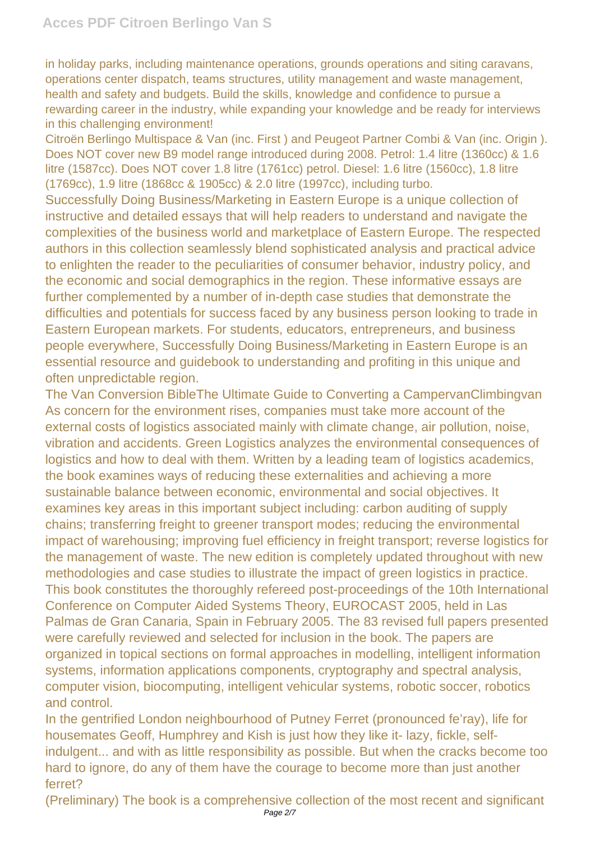in holiday parks, including maintenance operations, grounds operations and siting caravans, operations center dispatch, teams structures, utility management and waste management, health and safety and budgets. Build the skills, knowledge and confidence to pursue a rewarding career in the industry, while expanding your knowledge and be ready for interviews in this challenging environment!

Citroën Berlingo Multispace & Van (inc. First ) and Peugeot Partner Combi & Van (inc. Origin ). Does NOT cover new B9 model range introduced during 2008. Petrol: 1.4 litre (1360cc) & 1.6 litre (1587cc). Does NOT cover 1.8 litre (1761cc) petrol. Diesel: 1.6 litre (1560cc), 1.8 litre (1769cc), 1.9 litre (1868cc & 1905cc) & 2.0 litre (1997cc), including turbo.

Successfully Doing Business/Marketing in Eastern Europe is a unique collection of instructive and detailed essays that will help readers to understand and navigate the complexities of the business world and marketplace of Eastern Europe. The respected authors in this collection seamlessly blend sophisticated analysis and practical advice to enlighten the reader to the peculiarities of consumer behavior, industry policy, and the economic and social demographics in the region. These informative essays are further complemented by a number of in-depth case studies that demonstrate the difficulties and potentials for success faced by any business person looking to trade in Eastern European markets. For students, educators, entrepreneurs, and business people everywhere, Successfully Doing Business/Marketing in Eastern Europe is an essential resource and guidebook to understanding and profiting in this unique and often unpredictable region.

The Van Conversion BibleThe Ultimate Guide to Converting a CampervanClimbingvan As concern for the environment rises, companies must take more account of the external costs of logistics associated mainly with climate change, air pollution, noise, vibration and accidents. Green Logistics analyzes the environmental consequences of logistics and how to deal with them. Written by a leading team of logistics academics, the book examines ways of reducing these externalities and achieving a more sustainable balance between economic, environmental and social objectives. It examines key areas in this important subject including: carbon auditing of supply chains; transferring freight to greener transport modes; reducing the environmental impact of warehousing; improving fuel efficiency in freight transport; reverse logistics for the management of waste. The new edition is completely updated throughout with new methodologies and case studies to illustrate the impact of green logistics in practice. This book constitutes the thoroughly refereed post-proceedings of the 10th International Conference on Computer Aided Systems Theory, EUROCAST 2005, held in Las Palmas de Gran Canaria, Spain in February 2005. The 83 revised full papers presented were carefully reviewed and selected for inclusion in the book. The papers are organized in topical sections on formal approaches in modelling, intelligent information systems, information applications components, cryptography and spectral analysis, computer vision, biocomputing, intelligent vehicular systems, robotic soccer, robotics and control.

In the gentrified London neighbourhood of Putney Ferret (pronounced fe'ray), life for housemates Geoff, Humphrey and Kish is just how they like it- lazy, fickle, selfindulgent... and with as little responsibility as possible. But when the cracks become too hard to ignore, do any of them have the courage to become more than just another ferret?

(Preliminary) The book is a comprehensive collection of the most recent and significant Page 2/7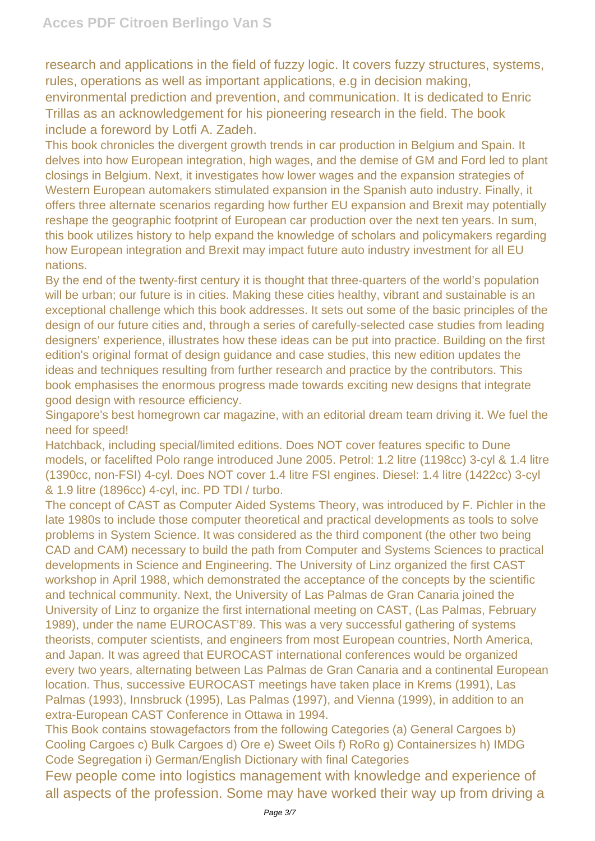research and applications in the field of fuzzy logic. It covers fuzzy structures, systems, rules, operations as well as important applications, e.g in decision making, environmental prediction and prevention, and communication. It is dedicated to Enric Trillas as an acknowledgement for his pioneering research in the field. The book include a foreword by Lotfi A. Zadeh.

This book chronicles the divergent growth trends in car production in Belgium and Spain. It delves into how European integration, high wages, and the demise of GM and Ford led to plant closings in Belgium. Next, it investigates how lower wages and the expansion strategies of Western European automakers stimulated expansion in the Spanish auto industry. Finally, it offers three alternate scenarios regarding how further EU expansion and Brexit may potentially reshape the geographic footprint of European car production over the next ten years. In sum, this book utilizes history to help expand the knowledge of scholars and policymakers regarding how European integration and Brexit may impact future auto industry investment for all EU nations.

By the end of the twenty-first century it is thought that three-quarters of the world's population will be urban; our future is in cities. Making these cities healthy, vibrant and sustainable is an exceptional challenge which this book addresses. It sets out some of the basic principles of the design of our future cities and, through a series of carefully-selected case studies from leading designers' experience, illustrates how these ideas can be put into practice. Building on the first edition's original format of design guidance and case studies, this new edition updates the ideas and techniques resulting from further research and practice by the contributors. This book emphasises the enormous progress made towards exciting new designs that integrate good design with resource efficiency.

Singapore's best homegrown car magazine, with an editorial dream team driving it. We fuel the need for speed!

Hatchback, including special/limited editions. Does NOT cover features specific to Dune models, or facelifted Polo range introduced June 2005. Petrol: 1.2 litre (1198cc) 3-cyl & 1.4 litre (1390cc, non-FSI) 4-cyl. Does NOT cover 1.4 litre FSI engines. Diesel: 1.4 litre (1422cc) 3-cyl & 1.9 litre (1896cc) 4-cyl, inc. PD TDI / turbo.

The concept of CAST as Computer Aided Systems Theory, was introduced by F. Pichler in the late 1980s to include those computer theoretical and practical developments as tools to solve problems in System Science. It was considered as the third component (the other two being CAD and CAM) necessary to build the path from Computer and Systems Sciences to practical developments in Science and Engineering. The University of Linz organized the first CAST workshop in April 1988, which demonstrated the acceptance of the concepts by the scientific and technical community. Next, the University of Las Palmas de Gran Canaria joined the University of Linz to organize the first international meeting on CAST, (Las Palmas, February 1989), under the name EUROCAST'89. This was a very successful gathering of systems theorists, computer scientists, and engineers from most European countries, North America, and Japan. It was agreed that EUROCAST international conferences would be organized every two years, alternating between Las Palmas de Gran Canaria and a continental European location. Thus, successive EUROCAST meetings have taken place in Krems (1991), Las Palmas (1993), Innsbruck (1995), Las Palmas (1997), and Vienna (1999), in addition to an extra-European CAST Conference in Ottawa in 1994.

This Book contains stowagefactors from the following Categories (a) General Cargoes b) Cooling Cargoes c) Bulk Cargoes d) Ore e) Sweet Oils f) RoRo g) Containersizes h) IMDG Code Segregation i) German/English Dictionary with final Categories

Few people come into logistics management with knowledge and experience of all aspects of the profession. Some may have worked their way up from driving a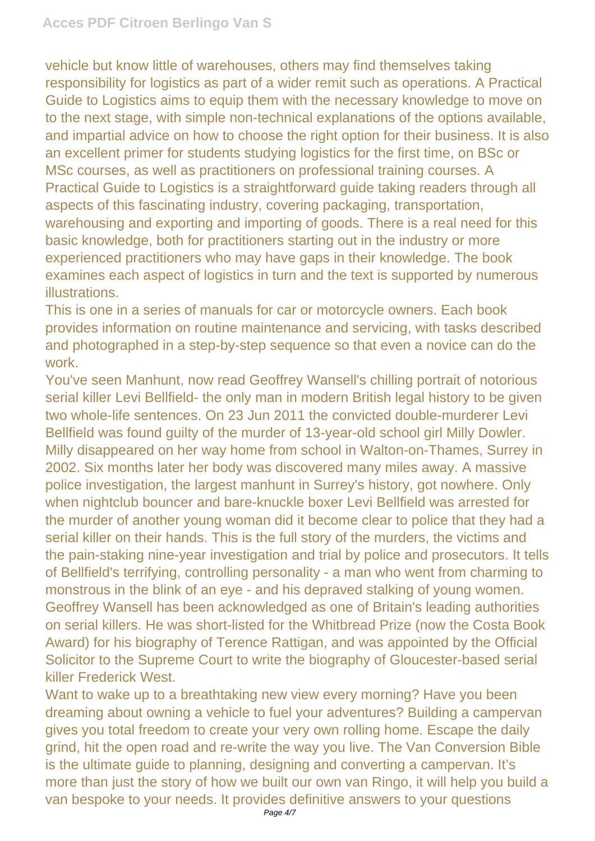vehicle but know little of warehouses, others may find themselves taking responsibility for logistics as part of a wider remit such as operations. A Practical Guide to Logistics aims to equip them with the necessary knowledge to move on to the next stage, with simple non-technical explanations of the options available, and impartial advice on how to choose the right option for their business. It is also an excellent primer for students studying logistics for the first time, on BSc or MSc courses, as well as practitioners on professional training courses. A Practical Guide to Logistics is a straightforward guide taking readers through all aspects of this fascinating industry, covering packaging, transportation, warehousing and exporting and importing of goods. There is a real need for this basic knowledge, both for practitioners starting out in the industry or more experienced practitioners who may have gaps in their knowledge. The book examines each aspect of logistics in turn and the text is supported by numerous illustrations.

This is one in a series of manuals for car or motorcycle owners. Each book provides information on routine maintenance and servicing, with tasks described and photographed in a step-by-step sequence so that even a novice can do the work.

You've seen Manhunt, now read Geoffrey Wansell's chilling portrait of notorious serial killer Levi Bellfield- the only man in modern British legal history to be given two whole-life sentences. On 23 Jun 2011 the convicted double-murderer Levi Bellfield was found guilty of the murder of 13-year-old school girl Milly Dowler. Milly disappeared on her way home from school in Walton-on-Thames, Surrey in 2002. Six months later her body was discovered many miles away. A massive police investigation, the largest manhunt in Surrey's history, got nowhere. Only when nightclub bouncer and bare-knuckle boxer Levi Bellfield was arrested for the murder of another young woman did it become clear to police that they had a serial killer on their hands. This is the full story of the murders, the victims and the pain-staking nine-year investigation and trial by police and prosecutors. It tells of Bellfield's terrifying, controlling personality - a man who went from charming to monstrous in the blink of an eye - and his depraved stalking of young women. Geoffrey Wansell has been acknowledged as one of Britain's leading authorities on serial killers. He was short-listed for the Whitbread Prize (now the Costa Book Award) for his biography of Terence Rattigan, and was appointed by the Official Solicitor to the Supreme Court to write the biography of Gloucester-based serial killer Frederick West.

Want to wake up to a breathtaking new view every morning? Have you been dreaming about owning a vehicle to fuel your adventures? Building a campervan gives you total freedom to create your very own rolling home. Escape the daily grind, hit the open road and re-write the way you live. The Van Conversion Bible is the ultimate guide to planning, designing and converting a campervan. It's more than just the story of how we built our own van Ringo, it will help you build a van bespoke to your needs. It provides definitive answers to your questions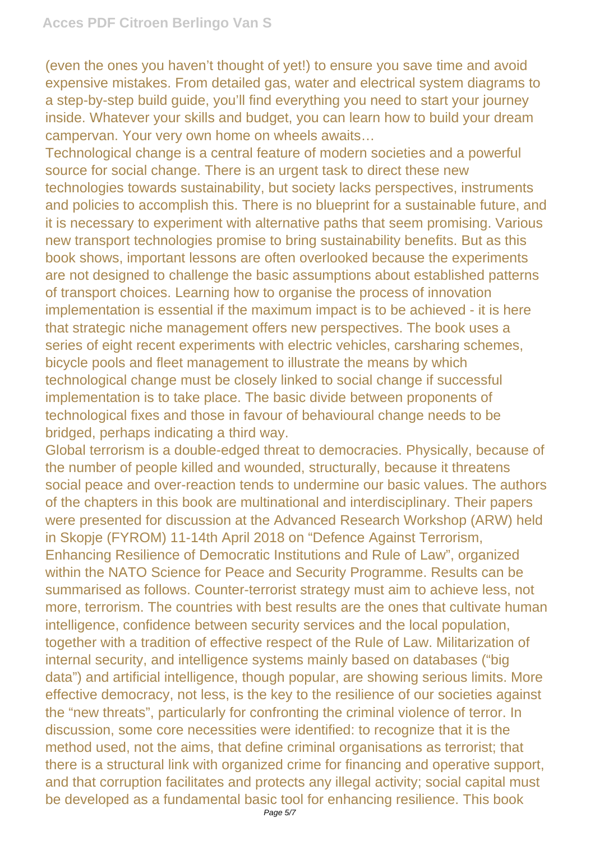(even the ones you haven't thought of yet!) to ensure you save time and avoid expensive mistakes. From detailed gas, water and electrical system diagrams to a step-by-step build guide, you'll find everything you need to start your journey inside. Whatever your skills and budget, you can learn how to build your dream campervan. Your very own home on wheels awaits…

Technological change is a central feature of modern societies and a powerful source for social change. There is an urgent task to direct these new technologies towards sustainability, but society lacks perspectives, instruments and policies to accomplish this. There is no blueprint for a sustainable future, and it is necessary to experiment with alternative paths that seem promising. Various new transport technologies promise to bring sustainability benefits. But as this book shows, important lessons are often overlooked because the experiments are not designed to challenge the basic assumptions about established patterns of transport choices. Learning how to organise the process of innovation implementation is essential if the maximum impact is to be achieved - it is here that strategic niche management offers new perspectives. The book uses a series of eight recent experiments with electric vehicles, carsharing schemes, bicycle pools and fleet management to illustrate the means by which technological change must be closely linked to social change if successful implementation is to take place. The basic divide between proponents of technological fixes and those in favour of behavioural change needs to be bridged, perhaps indicating a third way.

Global terrorism is a double-edged threat to democracies. Physically, because of the number of people killed and wounded, structurally, because it threatens social peace and over-reaction tends to undermine our basic values. The authors of the chapters in this book are multinational and interdisciplinary. Their papers were presented for discussion at the Advanced Research Workshop (ARW) held in Skopje (FYROM) 11-14th April 2018 on "Defence Against Terrorism, Enhancing Resilience of Democratic Institutions and Rule of Law", organized within the NATO Science for Peace and Security Programme. Results can be summarised as follows. Counter-terrorist strategy must aim to achieve less, not more, terrorism. The countries with best results are the ones that cultivate human intelligence, confidence between security services and the local population, together with a tradition of effective respect of the Rule of Law. Militarization of internal security, and intelligence systems mainly based on databases ("big data") and artificial intelligence, though popular, are showing serious limits. More effective democracy, not less, is the key to the resilience of our societies against the "new threats", particularly for confronting the criminal violence of terror. In discussion, some core necessities were identified: to recognize that it is the method used, not the aims, that define criminal organisations as terrorist; that there is a structural link with organized crime for financing and operative support, and that corruption facilitates and protects any illegal activity; social capital must be developed as a fundamental basic tool for enhancing resilience. This book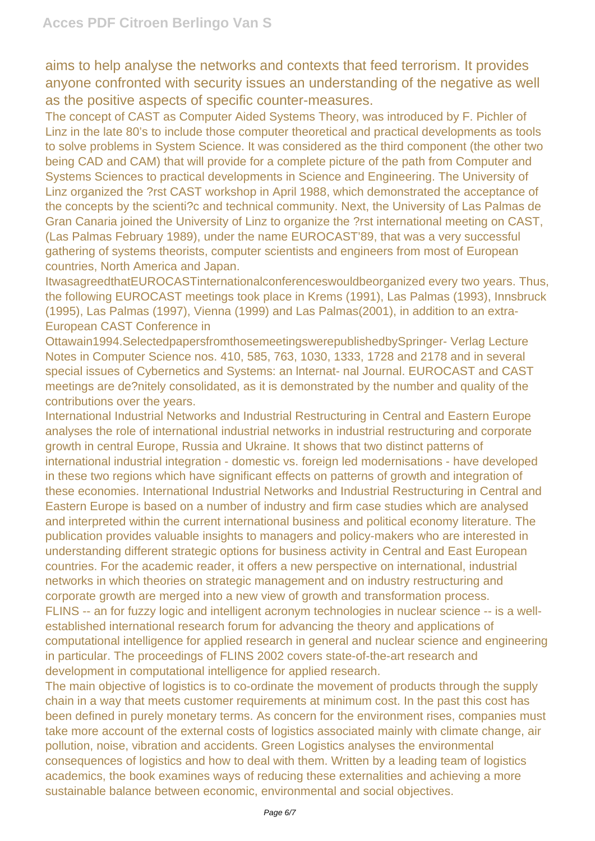aims to help analyse the networks and contexts that feed terrorism. It provides anyone confronted with security issues an understanding of the negative as well as the positive aspects of specific counter-measures.

The concept of CAST as Computer Aided Systems Theory, was introduced by F. Pichler of Linz in the late 80's to include those computer theoretical and practical developments as tools to solve problems in System Science. It was considered as the third component (the other two being CAD and CAM) that will provide for a complete picture of the path from Computer and Systems Sciences to practical developments in Science and Engineering. The University of Linz organized the ?rst CAST workshop in April 1988, which demonstrated the acceptance of the concepts by the scienti?c and technical community. Next, the University of Las Palmas de Gran Canaria joined the University of Linz to organize the ?rst international meeting on CAST, (Las Palmas February 1989), under the name EUROCAST'89, that was a very successful gathering of systems theorists, computer scientists and engineers from most of European countries, North America and Japan.

ItwasagreedthatEUROCASTinternationalconferenceswouldbeorganized every two years. Thus, the following EUROCAST meetings took place in Krems (1991), Las Palmas (1993), Innsbruck (1995), Las Palmas (1997), Vienna (1999) and Las Palmas(2001), in addition to an extra-European CAST Conference in

Ottawain1994.SelectedpapersfromthosemeetingswerepublishedbySpringer- Verlag Lecture Notes in Computer Science nos. 410, 585, 763, 1030, 1333, 1728 and 2178 and in several special issues of Cybernetics and Systems: an lnternat- nal Journal. EUROCAST and CAST meetings are de?nitely consolidated, as it is demonstrated by the number and quality of the contributions over the years.

International Industrial Networks and Industrial Restructuring in Central and Eastern Europe analyses the role of international industrial networks in industrial restructuring and corporate growth in central Europe, Russia and Ukraine. It shows that two distinct patterns of international industrial integration - domestic vs. foreign led modernisations - have developed in these two regions which have significant effects on patterns of growth and integration of these economies. International Industrial Networks and Industrial Restructuring in Central and Eastern Europe is based on a number of industry and firm case studies which are analysed and interpreted within the current international business and political economy literature. The publication provides valuable insights to managers and policy-makers who are interested in understanding different strategic options for business activity in Central and East European countries. For the academic reader, it offers a new perspective on international, industrial networks in which theories on strategic management and on industry restructuring and corporate growth are merged into a new view of growth and transformation process. FLINS -- an for fuzzy logic and intelligent acronym technologies in nuclear science -- is a wellestablished international research forum for advancing the theory and applications of computational intelligence for applied research in general and nuclear science and engineering in particular. The proceedings of FLINS 2002 covers state-of-the-art research and development in computational intelligence for applied research.

The main objective of logistics is to co-ordinate the movement of products through the supply chain in a way that meets customer requirements at minimum cost. In the past this cost has been defined in purely monetary terms. As concern for the environment rises, companies must take more account of the external costs of logistics associated mainly with climate change, air pollution, noise, vibration and accidents. Green Logistics analyses the environmental consequences of logistics and how to deal with them. Written by a leading team of logistics academics, the book examines ways of reducing these externalities and achieving a more sustainable balance between economic, environmental and social objectives.